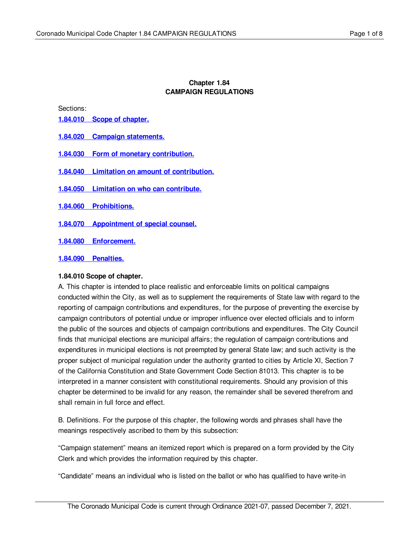## **Chapter 1.84 CAMPAIGN REGULATIONS**

Sections:

- **[1.84.010](#page-0-0) Scope of chapter.**
- **1.84.020 Campaign [statements.](#page-2-0)**
- **1.84.030 Form of monetary [contribution.](#page-4-0)**
- **1.84.040 Limitation on amount of [contribution.](#page-4-1)**
- **1.84.050 Limitation on who can [contribute.](#page-5-0)**
- **1.84.060 [Prohibitions.](#page-6-0)**
- **1.84.070 [Appointment](#page-6-1) of special counsel.**
- **1.84.080 [Enforcement.](#page-6-2)**
- **1.84.090 [Penalties.](#page-7-0)**

#### <span id="page-0-0"></span>**1.84.010 Scope of chapter.**

A. This chapter is intended to place realistic and enforceable limits on political campaigns conducted within the City, as well as to supplement the requirements of State law with regard to the reporting of campaign contributions and expenditures, for the purpose of preventing the exercise by campaign contributors of potential undue or improper influence over elected officials and to inform the public of the sources and objects of campaign contributions and expenditures. The City Council finds that municipal elections are municipal affairs; the regulation of campaign contributions and expenditures in municipal elections is not preempted by general State law; and such activity is the proper subject of municipal regulation under the authority granted to cities by Article XI, Section 7 of the California Constitution and State Government Code Section 81013. This chapter is to be interpreted in a manner consistent with constitutional requirements. Should any provision of this chapter be determined to be invalid for any reason, the remainder shall be severed therefrom and shall remain in full force and effect.

B. Definitions. For the purpose of this chapter, the following words and phrases shall have the meanings respectively ascribed to them by this subsection:

"Campaign statement" means an itemized report which is prepared on a form provided by the City Clerk and which provides the information required by this chapter.

"Candidate" means an individual who is listed on the ballot or who has qualified to have write-in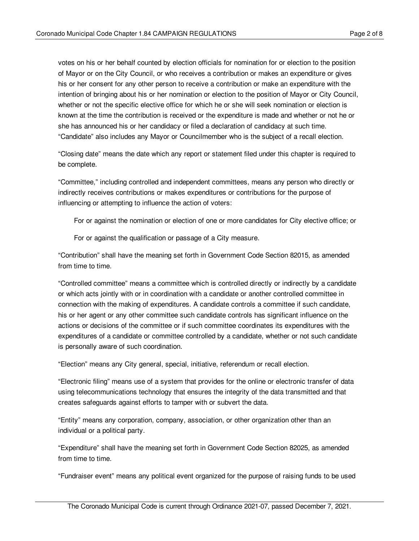votes on his or her behalf counted by election officials for nomination for or election to the position of Mayor or on the City Council, or who receives a contribution or makes an expenditure or gives his or her consent for any other person to receive a contribution or make an expenditure with the intention of bringing about his or her nomination or election to the position of Mayor or City Council, whether or not the specific elective office for which he or she will seek nomination or election is known at the time the contribution is received or the expenditure is made and whether or not he or she has announced his or her candidacy or filed a declaration of candidacy at such time. "Candidate" also includes any Mayor or Councilmember who is the subject of a recall election.

"Closing date" means the date which any report or statement filed under this chapter is required to be complete.

"Committee," including controlled and independent committees, means any person who directly or indirectly receives contributions or makes expenditures or contributions for the purpose of influencing or attempting to influence the action of voters:

For or against the nomination or election of one or more candidates for City elective office; or

For or against the qualification or passage of a City measure.

"Contribution" shall have the meaning set forth in Government Code Section 82015, as amended from time to time.

"Controlled committee" means a committee which is controlled directly or indirectly by a candidate or which acts jointly with or in coordination with a candidate or another controlled committee in connection with the making of expenditures. A candidate controls a committee if such candidate, his or her agent or any other committee such candidate controls has significant influence on the actions or decisions of the committee or if such committee coordinates its expenditures with the expenditures of a candidate or committee controlled by a candidate, whether or not such candidate is personally aware of such coordination.

"Election" means any City general, special, initiative, referendum or recall election.

"Electronic filing" means use of a system that provides for the online or electronic transfer of data using telecommunications technology that ensures the integrity of the data transmitted and that creates safeguards against efforts to tamper with or subvert the data.

"Entity" means any corporation, company, association, or other organization other than an individual or a political party.

"Expenditure" shall have the meaning set forth in Government Code Section 82025, as amended from time to time.

"Fundraiser event" means any political event organized for the purpose of raising funds to be used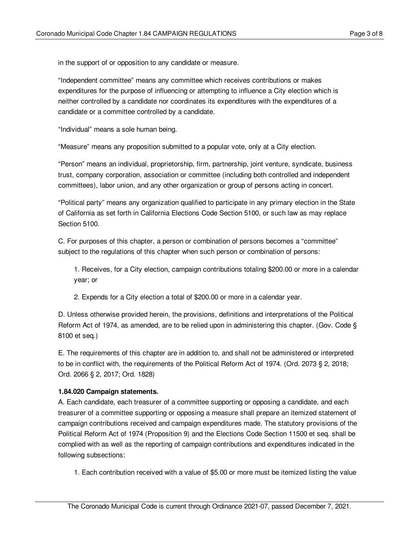in the support of or opposition to any candidate or measure.

"Independent committee" means any committee which receives contributions or makes expenditures for the purpose of influencing or attempting to influence a City election which is neither controlled by a candidate nor coordinates its expenditures with the expenditures of a candidate or a committee controlled by a candidate.

"Individual" means a sole human being.

"Measure" means any proposition submitted to a popular vote, only at a City election.

"Person" means an individual, proprietorship, firm, partnership, joint venture, syndicate, business trust, company corporation, association or committee (including both controlled and independent committees), labor union, and any other organization or group of persons acting in concert.

"Political party" means any organization qualified to participate in any primary election in the State of California as set forth in California Elections Code Section 5100, or such law as may replace Section 5100.

C. For purposes of this chapter, a person or combination of persons becomes a "committee" subject to the regulations of this chapter when such person or combination of persons:

1. Receives, for a City election, campaign contributions totaling \$200.00 or more in a calendar year; or

2. Expends for a City election a total of \$200.00 or more in a calendar year.

D. Unless otherwise provided herein, the provisions, definitions and interpretations of the Political Reform Act of 1974, as amended, are to be relied upon in administering this chapter. (Gov. Code § 8100 et seq.)

E. The requirements of this chapter are in addition to, and shall not be administered or interpreted to be in conflict with, the requirements of the Political Reform Act of 1974. (Ord. 2073 § 2, 2018; Ord. 2066 § 2, 2017; Ord. 1828)

# <span id="page-2-0"></span>**1.84.020 Campaign statements.**

A. Each candidate, each treasurer of a committee supporting or opposing a candidate, and each treasurer of a committee supporting or opposing a measure shall prepare an itemized statement of campaign contributions received and campaign expenditures made. The statutory provisions of the Political Reform Act of 1974 (Proposition 9) and the Elections Code Section 11500 et seq. shall be complied with as well as the reporting of campaign contributions and expenditures indicated in the following subsections:

1. Each contribution received with a value of \$5.00 or more must be itemized listing the value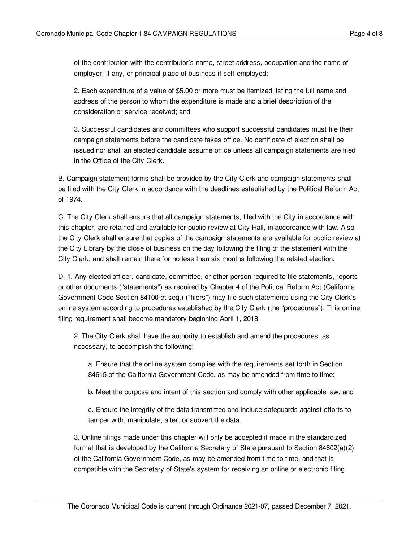of the contribution with the contributor's name, street address, occupation and the name of employer, if any, or principal place of business if self-employed;

2. Each expenditure of a value of \$5.00 or more must be itemized listing the full name and address of the person to whom the expenditure is made and a brief description of the consideration or service received; and

3. Successful candidates and committees who support successful candidates must file their campaign statements before the candidate takes office. No certificate of election shall be issued nor shall an elected candidate assume office unless all campaign statements are filed in the Office of the City Clerk.

B. Campaign statement forms shall be provided by the City Clerk and campaign statements shall be filed with the City Clerk in accordance with the deadlines established by the Political Reform Act of 1974.

C. The City Clerk shall ensure that all campaign statements, filed with the City in accordance with this chapter, are retained and available for public review at City Hall, in accordance with law. Also, the City Clerk shall ensure that copies of the campaign statements are available for public review at the City Library by the close of business on the day following the filing of the statement with the City Clerk; and shall remain there for no less than six months following the related election.

D. 1. Any elected officer, candidate, committee, or other person required to file statements, reports or other documents ("statements") as required by Chapter 4 of the Political Reform Act (California Government Code Section 84100 et seq.) ("filers") may file such statements using the City Clerk's online system according to procedures established by the City Clerk (the "procedures"). This online filing requirement shall become mandatory beginning April 1, 2018.

2. The City Clerk shall have the authority to establish and amend the procedures, as necessary, to accomplish the following:

a. Ensure that the online system complies with the requirements set forth in Section 84615 of the California Government Code, as may be amended from time to time;

b. Meet the purpose and intent of this section and comply with other applicable law; and

c. Ensure the integrity of the data transmitted and include safeguards against efforts to tamper with, manipulate, alter, or subvert the data.

3. Online filings made under this chapter will only be accepted if made in the standardized format that is developed by the California Secretary of State pursuant to Section 84602(a)(2) of the California Government Code, as may be amended from time to time, and that is compatible with the Secretary of State's system for receiving an online or electronic filing.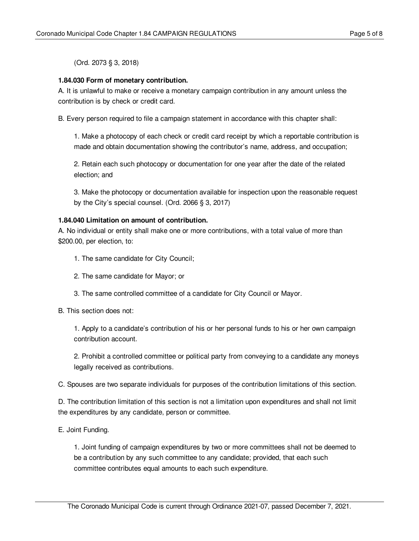(Ord. 2073 § 3, 2018)

### <span id="page-4-0"></span>**1.84.030 Form of monetary contribution.**

A. It is unlawful to make or receive a monetary campaign contribution in any amount unless the contribution is by check or credit card.

B. Every person required to file a campaign statement in accordance with this chapter shall:

1. Make a photocopy of each check or credit card receipt by which a reportable contribution is made and obtain documentation showing the contributor's name, address, and occupation;

2. Retain each such photocopy or documentation for one year after the date of the related election; and

3. Make the photocopy or documentation available for inspection upon the reasonable request by the City's special counsel. (Ord. 2066 § 3, 2017)

### <span id="page-4-1"></span>**1.84.040 Limitation on amount of contribution.**

A. No individual or entity shall make one or more contributions, with a total value of more than \$200.00, per election, to:

- 1. The same candidate for City Council;
- 2. The same candidate for Mayor; or
- 3. The same controlled committee of a candidate for City Council or Mayor.

#### B. This section does not:

1. Apply to a candidate's contribution of his or her personal funds to his or her own campaign contribution account.

2. Prohibit a controlled committee or political party from conveying to a candidate any moneys legally received as contributions.

C. Spouses are two separate individuals for purposes of the contribution limitations of this section.

D. The contribution limitation of this section is not a limitation upon expenditures and shall not limit the expenditures by any candidate, person or committee.

E. Joint Funding.

1. Joint funding of campaign expenditures by two or more committees shall not be deemed to be a contribution by any such committee to any candidate; provided, that each such committee contributes equal amounts to each such expenditure.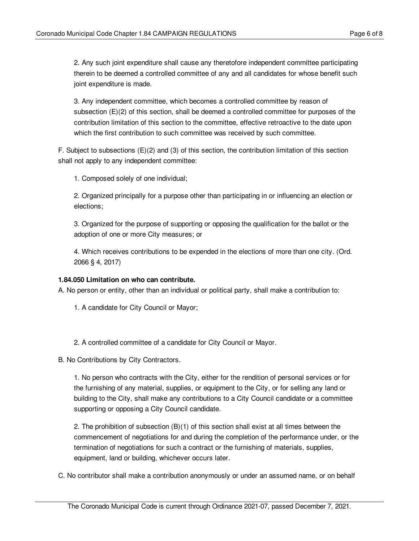2. Any such joint expenditure shall cause any theretofore independent committee participating therein to be deemed a controlled committee of any and all candidates for whose benefit such joint expenditure is made.

3. Any independent committee, which becomes a controlled committee by reason of subsection (E)(2) of this section, shall be deemed a controlled committee for purposes of the contribution limitation of this section to the committee, effective retroactive to the date upon which the first contribution to such committee was received by such committee.

F. Subject to subsections  $(E)(2)$  and  $(3)$  of this section, the contribution limitation of this section shall not apply to any independent committee:

1. Composed solely of one individual;

2. Organized principally for a purpose other than participating in or influencing an election or elections;

3. Organized for the purpose of supporting or opposing the qualification for the ballot or the adoption of one or more City measures; or

4. Which receives contributions to be expended in the elections of more than one city. (Ord. 2066 § 4, 2017)

#### <span id="page-5-0"></span>**1.84.050 Limitation on who can contribute.**

A. No person or entity, other than an individual or political party, shall make a contribution to:

- 1. A candidate for City Council or Mayor;
- 2. A controlled committee of a candidate for City Council or Mayor.

B. No Contributions by City Contractors.

1. No person who contracts with the City, either for the rendition of personal services or for the furnishing of any material, supplies, or equipment to the City, or for selling any land or building to the City, shall make any contributions to a City Council candidate or a committee supporting or opposing a City Council candidate.

2. The prohibition of subsection (B)(1) of this section shall exist at all times between the commencement of negotiations for and during the completion of the performance under, or the termination of negotiations for such a contract or the furnishing of materials, supplies, equipment, land or building, whichever occurs later.

C. No contributor shall make a contribution anonymously or under an assumed name, or on behalf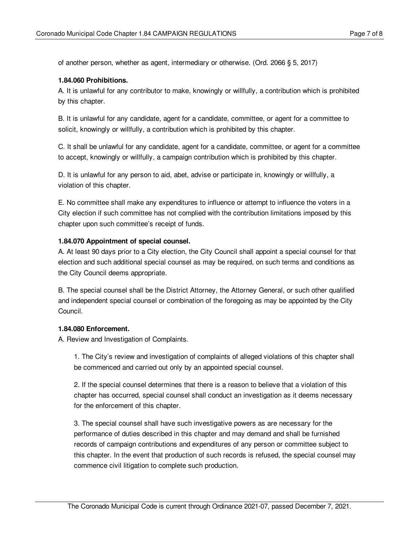of another person, whether as agent, intermediary or otherwise. (Ord. 2066 § 5, 2017)

### <span id="page-6-0"></span>**1.84.060 Prohibitions.**

A. It is unlawful for any contributor to make, knowingly or willfully, a contribution which is prohibited by this chapter.

B. It is unlawful for any candidate, agent for a candidate, committee, or agent for a committee to solicit, knowingly or willfully, a contribution which is prohibited by this chapter.

C. It shall be unlawful for any candidate, agent for a candidate, committee, or agent for a committee to accept, knowingly or willfully, a campaign contribution which is prohibited by this chapter.

D. It is unlawful for any person to aid, abet, advise or participate in, knowingly or willfully, a violation of this chapter.

E. No committee shall make any expenditures to influence or attempt to influence the voters in a City election if such committee has not complied with the contribution limitations imposed by this chapter upon such committee's receipt of funds.

### <span id="page-6-1"></span>**1.84.070 Appointment of special counsel.**

A. At least 90 days prior to a City election, the City Council shall appoint a special counsel for that election and such additional special counsel as may be required, on such terms and conditions as the City Council deems appropriate.

B. The special counsel shall be the District Attorney, the Attorney General, or such other qualified and independent special counsel or combination of the foregoing as may be appointed by the City Council.

# <span id="page-6-2"></span>**1.84.080 Enforcement.**

A. Review and Investigation of Complaints.

1. The City's review and investigation of complaints of alleged violations of this chapter shall be commenced and carried out only by an appointed special counsel.

2. If the special counsel determines that there is a reason to believe that a violation of this chapter has occurred, special counsel shall conduct an investigation as it deems necessary for the enforcement of this chapter.

3. The special counsel shall have such investigative powers as are necessary for the performance of duties described in this chapter and may demand and shall be furnished records of campaign contributions and expenditures of any person or committee subject to this chapter. In the event that production of such records is refused, the special counsel may commence civil litigation to complete such production.